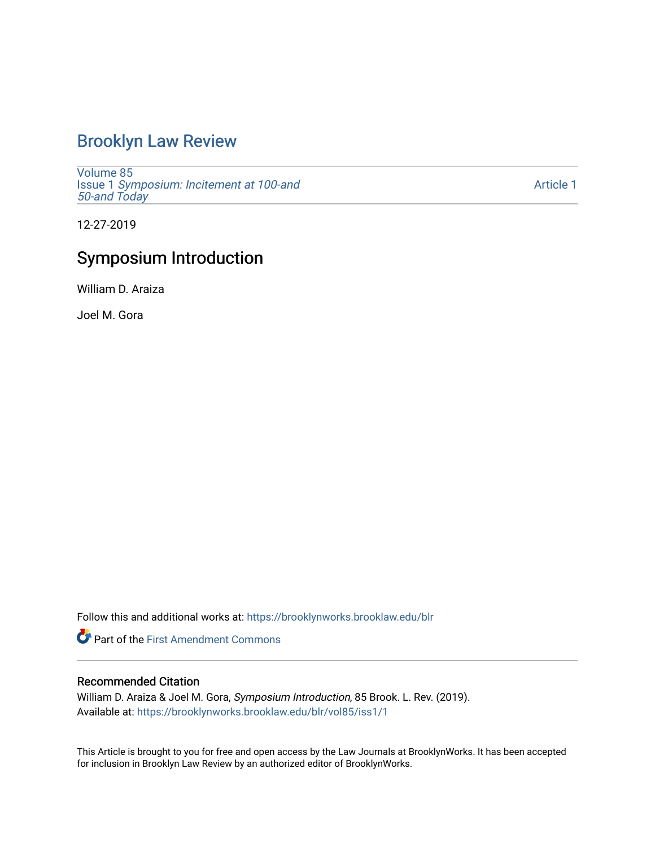### [Brooklyn Law Review](https://brooklynworks.brooklaw.edu/blr)

[Volume 85](https://brooklynworks.brooklaw.edu/blr/vol85) Issue 1 [Symposium: Incitement at 100-and](https://brooklynworks.brooklaw.edu/blr/vol85/iss1)  [50-and Today](https://brooklynworks.brooklaw.edu/blr/vol85/iss1) 

[Article 1](https://brooklynworks.brooklaw.edu/blr/vol85/iss1/1) 

12-27-2019

## Symposium Introduction

William D. Araiza

Joel M. Gora

Follow this and additional works at: [https://brooklynworks.brooklaw.edu/blr](https://brooklynworks.brooklaw.edu/blr?utm_source=brooklynworks.brooklaw.edu%2Fblr%2Fvol85%2Fiss1%2F1&utm_medium=PDF&utm_campaign=PDFCoverPages) 

**Part of the First Amendment Commons** 

#### Recommended Citation

William D. Araiza & Joel M. Gora, Symposium Introduction, 85 Brook. L. Rev. (2019). Available at: [https://brooklynworks.brooklaw.edu/blr/vol85/iss1/1](https://brooklynworks.brooklaw.edu/blr/vol85/iss1/1?utm_source=brooklynworks.brooklaw.edu%2Fblr%2Fvol85%2Fiss1%2F1&utm_medium=PDF&utm_campaign=PDFCoverPages)

This Article is brought to you for free and open access by the Law Journals at BrooklynWorks. It has been accepted for inclusion in Brooklyn Law Review by an authorized editor of BrooklynWorks.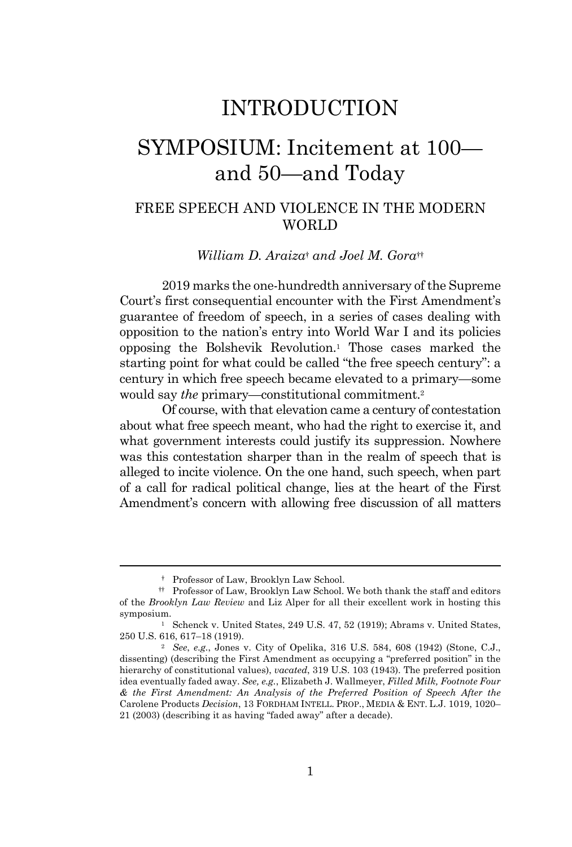## INTRODUCTION

# SYMPOSIUM: Incitement at 100 and 50—and Today

#### FREE SPEECH AND VIOLENCE IN THE MODERN **WORLD**

*William D. Araiza*† *and Joel M. Gora*††

2019 marks the one-hundredth anniversary of the Supreme Court's first consequential encounter with the First Amendment's guarantee of freedom of speech, in a series of cases dealing with opposition to the nation's entry into World War I and its policies opposing the Bolshevik Revolution.<sup>1</sup> Those cases marked the starting point for what could be called "the free speech century": a century in which free speech became elevated to a primary—some would say *the* primary—constitutional commitment. 2

Of course, with that elevation came a century of contestation about what free speech meant, who had the right to exercise it, and what government interests could justify its suppression. Nowhere was this contestation sharper than in the realm of speech that is alleged to incite violence. On the one hand, such speech, when part of a call for radical political change, lies at the heart of the First Amendment's concern with allowing free discussion of all matters

<sup>†</sup> Professor of Law, Brooklyn Law School.

<sup>††</sup> Professor of Law, Brooklyn Law School. We both thank the staff and editors of the *Brooklyn Law Review* and Liz Alper for all their excellent work in hosting this symposium.

<sup>&</sup>lt;sup>1</sup> Schenck v. United States, 249 U.S. 47, 52 (1919); Abrams v. United States, 250 U.S. 616, 617–18 (1919).

<sup>2</sup> *See*, *e.g.*, Jones v. City of Opelika, 316 U.S. 584, 608 (1942) (Stone, C.J., dissenting) (describing the First Amendment as occupying a "preferred position" in the hierarchy of constitutional values), *vacated*, 319 U.S. 103 (1943). The preferred position idea eventually faded away. *See, e.g.*, Elizabeth J. Wallmeyer, *Filled Milk, Footnote Four & the First Amendment: An Analysis of the Preferred Position of Speech After the* Carolene Products *Decision*, 13 FORDHAM INTELL. PROP., MEDIA & ENT. L.J. 1019, 1020– 21 (2003) (describing it as having "faded away" after a decade).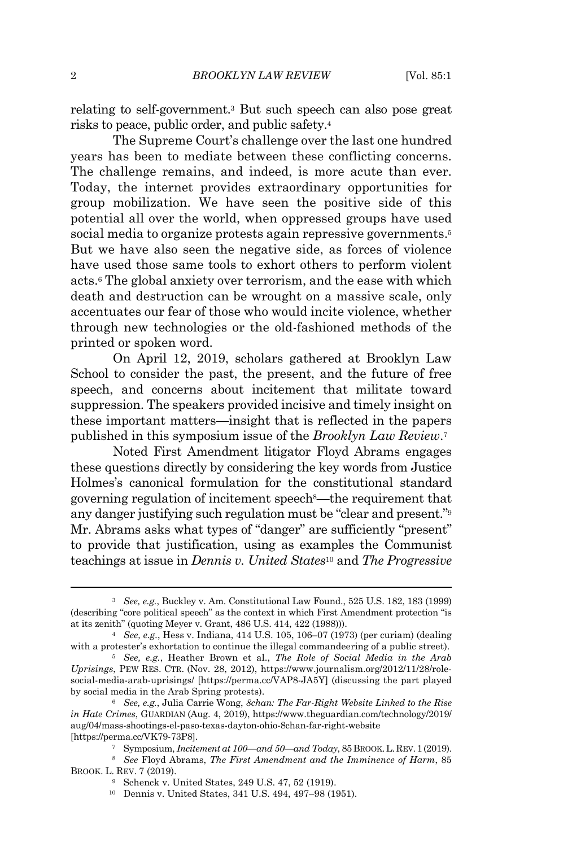relating to self-government. <sup>3</sup> But such speech can also pose great risks to peace, public order, and public safety.<sup>4</sup>

The Supreme Court's challenge over the last one hundred years has been to mediate between these conflicting concerns. The challenge remains, and indeed, is more acute than ever. Today, the internet provides extraordinary opportunities for group mobilization. We have seen the positive side of this potential all over the world, when oppressed groups have used social media to organize protests again repressive governments.<sup>5</sup> But we have also seen the negative side, as forces of violence have used those same tools to exhort others to perform violent acts.<sup>6</sup> The global anxiety over terrorism, and the ease with which death and destruction can be wrought on a massive scale, only accentuates our fear of those who would incite violence, whether through new technologies or the old-fashioned methods of the printed or spoken word.

On April 12, 2019, scholars gathered at Brooklyn Law School to consider the past, the present, and the future of free speech, and concerns about incitement that militate toward suppression. The speakers provided incisive and timely insight on these important matters—insight that is reflected in the papers published in this symposium issue of the *Brooklyn Law Review*. 7

Noted First Amendment litigator Floyd Abrams engages these questions directly by considering the key words from Justice Holmes's canonical formulation for the constitutional standard governing regulation of incitement speech8—the requirement that any danger justifying such regulation must be "clear and present."<sup>9</sup> Mr. Abrams asks what types of "danger" are sufficiently "present" to provide that justification, using as examples the Communist teachings at issue in *Dennis v. United States*<sup>10</sup> and *The Progressive*

<sup>3</sup> *See, e.g.*, Buckley v. Am. Constitutional Law Found., 525 U.S. 182, 183 (1999) (describing "core political speech" as the context in which First Amendment protection "is at its zenith" (quoting Meyer v. Grant, 486 U.S. 414, 422 (1988))).

<sup>4</sup> *See, e.g.*, Hess v. Indiana, 414 U.S. 105, 106–07 (1973) (per curiam) (dealing with a protester's exhortation to continue the illegal commandeering of a public street).

<sup>5</sup> *See, e.g.*, Heather Brown et al., *The Role of Social Media in the Arab Uprisings*, PEW RES. CTR. (Nov. 28, 2012), https://www.journalism.org/2012/11/28/rolesocial-media-arab-uprisings/ [https://perma.cc/VAP8-JA5Y] (discussing the part played by social media in the Arab Spring protests).

<sup>6</sup> *See, e.g.*, Julia Carrie Wong, *8chan: The Far-Right Website Linked to the Rise in Hate Crimes*, GUARDIAN (Aug. 4, 2019), https://www.theguardian.com/technology/2019/ aug/04/mass-shootings-el-paso-texas-dayton-ohio-8chan-far-right-website [https://perma.cc/VK79-73P8].

<sup>7</sup> Symposium, *Incitement at 100—and 50—and Today*, 85BROOK.L.REV.1(2019). <sup>8</sup> *See* Floyd Abrams, *The First Amendment and the Imminence of Harm*, 85 BROOK. L. REV. 7 (2019).

<sup>9</sup> Schenck v. United States, 249 U.S. 47, 52 (1919).

<sup>10</sup> Dennis v. United States, 341 U.S. 494, 497–98 (1951).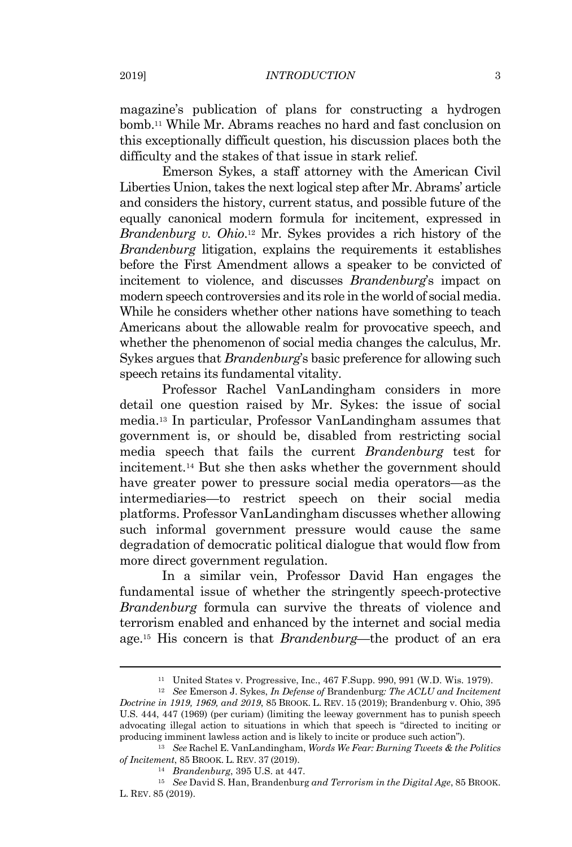magazine's publication of plans for constructing a hydrogen bomb.<sup>11</sup> While Mr. Abrams reaches no hard and fast conclusion on this exceptionally difficult question, his discussion places both the difficulty and the stakes of that issue in stark relief.

Emerson Sykes, a staff attorney with the American Civil Liberties Union, takes the next logical step after Mr. Abrams' article and considers the history, current status, and possible future of the equally canonical modern formula for incitement, expressed in *Brandenburg v. Ohio*. <sup>12</sup> Mr. Sykes provides a rich history of the *Brandenburg* litigation, explains the requirements it establishes before the First Amendment allows a speaker to be convicted of incitement to violence, and discusses *Brandenburg*'s impact on modern speech controversies and its role in the world of social media. While he considers whether other nations have something to teach Americans about the allowable realm for provocative speech, and whether the phenomenon of social media changes the calculus, Mr. Sykes argues that *Brandenburg*'s basic preference for allowing such speech retains its fundamental vitality.

Professor Rachel VanLandingham considers in more detail one question raised by Mr. Sykes: the issue of social media. <sup>13</sup> In particular, Professor VanLandingham assumes that government is, or should be, disabled from restricting social media speech that fails the current *Brandenburg* test for incitement.<sup>14</sup> But she then asks whether the government should have greater power to pressure social media operators—as the intermediaries—to restrict speech on their social media platforms. Professor VanLandingham discusses whether allowing such informal government pressure would cause the same degradation of democratic political dialogue that would flow from more direct government regulation.

In a similar vein, Professor David Han engages the fundamental issue of whether the stringently speech-protective *Brandenburg* formula can survive the threats of violence and terrorism enabled and enhanced by the internet and social media age. <sup>15</sup> His concern is that *Brandenburg*—the product of an era

<sup>11</sup> United States v. Progressive, Inc., 467 F.Supp. 990, 991 (W.D. Wis. 1979).

<sup>12</sup> *See* Emerson J. Sykes, *In Defense of* Brandenburg*: The ACLU and Incitement Doctrine in 1919, 1969, and 2019*, 85 BROOK. L. REV. 15 (2019); Brandenburg v. Ohio, 395 U.S. 444, 447 (1969) (per curiam) (limiting the leeway government has to punish speech advocating illegal action to situations in which that speech is "directed to inciting or producing imminent lawless action and is likely to incite or produce such action").

<sup>13</sup> *See* Rachel E. VanLandingham, *Words We Fear: Burning Tweets & the Politics of Incitement*, 85 BROOK. L. REV. 37 (2019).

<sup>14</sup> *Brandenburg*, 395 U.S. at 447.

<sup>15</sup> *See* David S. Han, Brandenburg *and Terrorism in the Digital Age*, 85 BROOK. L. REV. 85 (2019).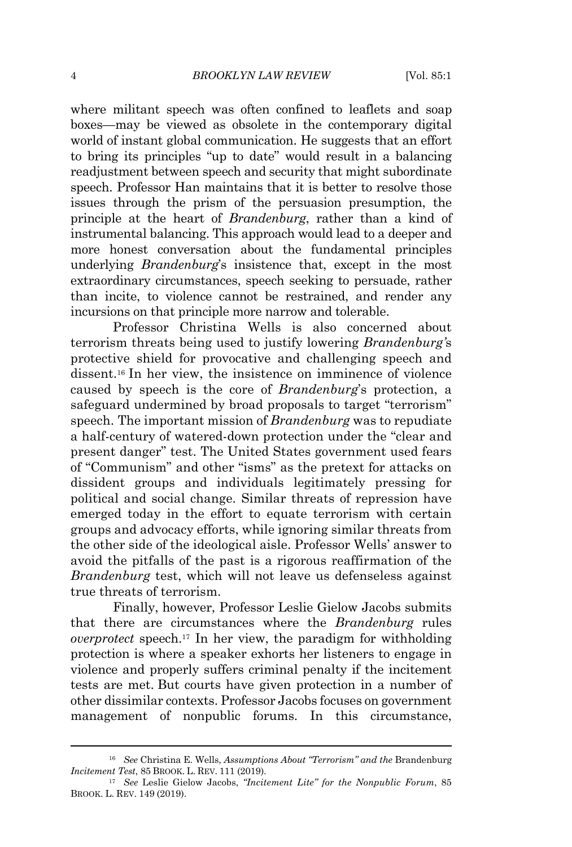where militant speech was often confined to leaflets and soap boxes—may be viewed as obsolete in the contemporary digital world of instant global communication. He suggests that an effort to bring its principles "up to date" would result in a balancing readjustment between speech and security that might subordinate speech. Professor Han maintains that it is better to resolve those issues through the prism of the persuasion presumption, the principle at the heart of *Brandenburg*, rather than a kind of instrumental balancing. This approach would lead to a deeper and more honest conversation about the fundamental principles underlying *Brandenburg*'s insistence that, except in the most extraordinary circumstances, speech seeking to persuade, rather than incite, to violence cannot be restrained, and render any incursions on that principle more narrow and tolerable.

Professor Christina Wells is also concerned about terrorism threats being used to justify lowering *Brandenburg'*s protective shield for provocative and challenging speech and dissent. <sup>16</sup> In her view, the insistence on imminence of violence caused by speech is the core of *Brandenburg*'s protection, a safeguard undermined by broad proposals to target "terrorism" speech. The important mission of *Brandenburg* was to repudiate a half-century of watered-down protection under the "clear and present danger" test. The United States government used fears of "Communism" and other "isms" as the pretext for attacks on dissident groups and individuals legitimately pressing for political and social change. Similar threats of repression have emerged today in the effort to equate terrorism with certain groups and advocacy efforts, while ignoring similar threats from the other side of the ideological aisle. Professor Wells' answer to avoid the pitfalls of the past is a rigorous reaffirmation of the *Brandenburg* test, which will not leave us defenseless against true threats of terrorism.

Finally, however, Professor Leslie Gielow Jacobs submits that there are circumstances where the *Brandenburg* rules *overprotect* speech. <sup>17</sup> In her view, the paradigm for withholding protection is where a speaker exhorts her listeners to engage in violence and properly suffers criminal penalty if the incitement tests are met. But courts have given protection in a number of other dissimilar contexts. Professor Jacobs focuses on government management of nonpublic forums. In this circumstance,

<sup>16</sup> *See* Christina E. Wells, *Assumptions About "Terrorism" and the* Brandenburg *Incitement Test*, 85 BROOK. L. REV. 111 (2019).

<sup>17</sup> *See* Leslie Gielow Jacobs, *"Incitement Lite" for the Nonpublic Forum*, 85 BROOK. L. REV. 149 (2019).